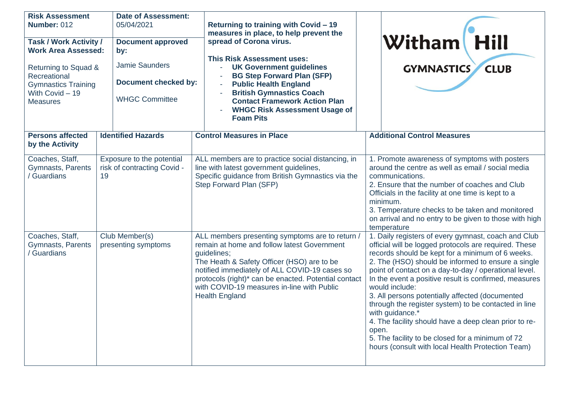| <b>Risk Assessment</b><br>Number: 012<br><b>Task / Work Activity /</b><br><b>Work Area Assessed:</b><br>Returning to Squad &<br>Recreational<br><b>Gymnastics Training</b><br>With Covid - 19<br><b>Measures</b> |    | <b>Date of Assessment:</b><br>05/04/2021<br><b>Document approved</b><br>by:<br><b>Jamie Saunders</b><br><b>Document checked by:</b><br><b>WHGC Committee</b> |  | Returning to training with Covid - 19<br>measures in place, to help prevent the<br>spread of Corona virus.<br><b>This Risk Assessment uses:</b><br><b>UK Government guidelines</b><br><b>BG Step Forward Plan (SFP)</b><br><b>Public Health England</b><br>$\bar{a}$<br><b>British Gymnastics Coach</b><br><b>Contact Framework Action Plan</b><br><b>WHGC Risk Assessment Usage of</b><br><b>Foam Pits</b> |                                                                                                                                                                                                                                                                                                                                                                      | Witham Hill<br><b>CLUB</b><br><b>GYMNASTICS</b>                                                                                                                                                                                                                                                                                                                                                                                                                                                                                                                                                                                                            |
|------------------------------------------------------------------------------------------------------------------------------------------------------------------------------------------------------------------|----|--------------------------------------------------------------------------------------------------------------------------------------------------------------|--|-------------------------------------------------------------------------------------------------------------------------------------------------------------------------------------------------------------------------------------------------------------------------------------------------------------------------------------------------------------------------------------------------------------|----------------------------------------------------------------------------------------------------------------------------------------------------------------------------------------------------------------------------------------------------------------------------------------------------------------------------------------------------------------------|------------------------------------------------------------------------------------------------------------------------------------------------------------------------------------------------------------------------------------------------------------------------------------------------------------------------------------------------------------------------------------------------------------------------------------------------------------------------------------------------------------------------------------------------------------------------------------------------------------------------------------------------------------|
| <b>Persons affected</b><br>by the Activity                                                                                                                                                                       |    | <b>Identified Hazards</b>                                                                                                                                    |  | <b>Control Measures in Place</b>                                                                                                                                                                                                                                                                                                                                                                            | <b>Additional Control Measures</b>                                                                                                                                                                                                                                                                                                                                   |                                                                                                                                                                                                                                                                                                                                                                                                                                                                                                                                                                                                                                                            |
| Coaches, Staff,<br>Gymnasts, Parents<br>Guardians                                                                                                                                                                | 19 | Exposure to the potential<br>risk of contracting Covid -                                                                                                     |  | ALL members are to practice social distancing, in<br>line with latest government guidelines,<br>Specific guidance from British Gymnastics via the<br>Step Forward Plan (SFP)                                                                                                                                                                                                                                | 1. Promote awareness of symptoms with posters<br>around the centre as well as email / social media<br>communications.<br>2. Ensure that the number of coaches and Club<br>Officials in the facility at one time is kept to a<br>minimum.<br>3. Temperature checks to be taken and monitored<br>on arrival and no entry to be given to those with high<br>temperature |                                                                                                                                                                                                                                                                                                                                                                                                                                                                                                                                                                                                                                                            |
| Coaches, Staff,<br>Gymnasts, Parents<br>Guardians                                                                                                                                                                |    | Club Member(s)<br>presenting symptoms                                                                                                                        |  | ALL members presenting symptoms are to return /<br>remain at home and follow latest Government<br>guidelines;<br>The Heath & Safety Officer (HSO) are to be<br>notified immediately of ALL COVID-19 cases so<br>protocols (right)* can be enacted. Potential contact<br>with COVID-19 measures in-line with Public<br><b>Health England</b>                                                                 | open.                                                                                                                                                                                                                                                                                                                                                                | 1. Daily registers of every gymnast, coach and Club<br>official will be logged protocols are required. These<br>records should be kept for a minimum of 6 weeks.<br>2. The (HSO) should be informed to ensure a single<br>point of contact on a day-to-day / operational level.<br>In the event a positive result is confirmed, measures<br>would include:<br>3. All persons potentially affected (documented<br>through the register system) to be contacted in line<br>with guidance.*<br>4. The facility should have a deep clean prior to re-<br>5. The facility to be closed for a minimum of 72<br>hours (consult with local Health Protection Team) |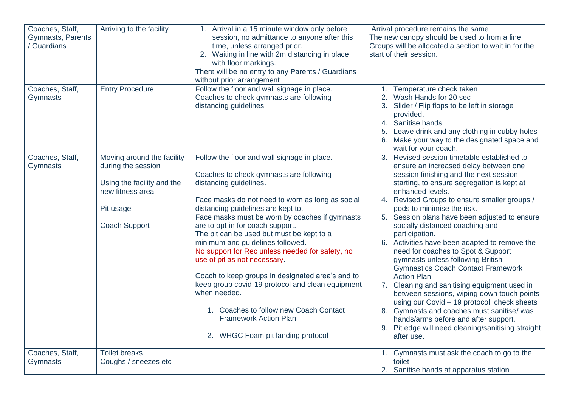| Coaches, Staff,<br>Gymnasts, Parents<br>Guardians | Arriving to the facility                                                                                                                | 1. Arrival in a 15 minute window only before<br>session, no admittance to anyone after this<br>time, unless arranged prior.<br>2. Waiting in line with 2m distancing in place<br>with floor markings.<br>There will be no entry to any Parents / Guardians<br>without prior arrangement                                                                                                                                                                                                                                                                                                                                                                                                                     | Arrival procedure remains the same<br>The new canopy should be used to from a line.<br>Groups will be allocated a section to wait in for the<br>start of their session.                                                                                                                                                                                                                                                                                                                                                                                                                                                                                                                                                                                                                                                                                                                    |
|---------------------------------------------------|-----------------------------------------------------------------------------------------------------------------------------------------|-------------------------------------------------------------------------------------------------------------------------------------------------------------------------------------------------------------------------------------------------------------------------------------------------------------------------------------------------------------------------------------------------------------------------------------------------------------------------------------------------------------------------------------------------------------------------------------------------------------------------------------------------------------------------------------------------------------|--------------------------------------------------------------------------------------------------------------------------------------------------------------------------------------------------------------------------------------------------------------------------------------------------------------------------------------------------------------------------------------------------------------------------------------------------------------------------------------------------------------------------------------------------------------------------------------------------------------------------------------------------------------------------------------------------------------------------------------------------------------------------------------------------------------------------------------------------------------------------------------------|
| Coaches, Staff,<br>Gymnasts                       | <b>Entry Procedure</b>                                                                                                                  | Follow the floor and wall signage in place.<br>Coaches to check gymnasts are following<br>distancing guidelines                                                                                                                                                                                                                                                                                                                                                                                                                                                                                                                                                                                             | 1. Temperature check taken<br>2. Wash Hands for 20 sec<br>3. Slider / Flip flops to be left in storage<br>provided.<br>4. Sanitise hands<br>Leave drink and any clothing in cubby holes<br>6. Make your way to the designated space and<br>wait for your coach.                                                                                                                                                                                                                                                                                                                                                                                                                                                                                                                                                                                                                            |
| Coaches, Staff,<br>Gymnasts                       | Moving around the facility<br>during the session<br>Using the facility and the<br>new fitness area<br>Pit usage<br><b>Coach Support</b> | Follow the floor and wall signage in place.<br>Coaches to check gymnasts are following<br>distancing guidelines.<br>Face masks do not need to worn as long as social<br>distancing guidelines are kept to.<br>Face masks must be worn by coaches if gymnasts<br>are to opt-in for coach support.<br>The pit can be used but must be kept to a<br>minimum and guidelines followed.<br>No support for Rec unless needed for safety, no<br>use of pit as not necessary.<br>Coach to keep groups in designated area's and to<br>keep group covid-19 protocol and clean equipment<br>when needed.<br>1. Coaches to follow new Coach Contact<br><b>Framework Action Plan</b><br>2. WHGC Foam pit landing protocol | 3. Revised session timetable established to<br>ensure an increased delay between one<br>session finishing and the next session<br>starting, to ensure segregation is kept at<br>enhanced levels.<br>4. Revised Groups to ensure smaller groups /<br>pods to minimise the risk.<br>5. Session plans have been adjusted to ensure<br>socially distanced coaching and<br>participation.<br>6. Activities have been adapted to remove the<br>need for coaches to Spot & Support<br>gymnasts unless following British<br><b>Gymnastics Coach Contact Framework</b><br><b>Action Plan</b><br>7. Cleaning and sanitising equipment used in<br>between sessions, wiping down touch points<br>using our Covid - 19 protocol, check sheets<br>8. Gymnasts and coaches must sanitise/ was<br>hands/arms before and after support.<br>9. Pit edge will need cleaning/sanitising straight<br>after use. |
| Coaches, Staff,<br>Gymnasts                       | Toilet breaks<br>Coughs / sneezes etc                                                                                                   |                                                                                                                                                                                                                                                                                                                                                                                                                                                                                                                                                                                                                                                                                                             | 1. Gymnasts must ask the coach to go to the<br>toilet<br>2. Sanitise hands at apparatus station                                                                                                                                                                                                                                                                                                                                                                                                                                                                                                                                                                                                                                                                                                                                                                                            |